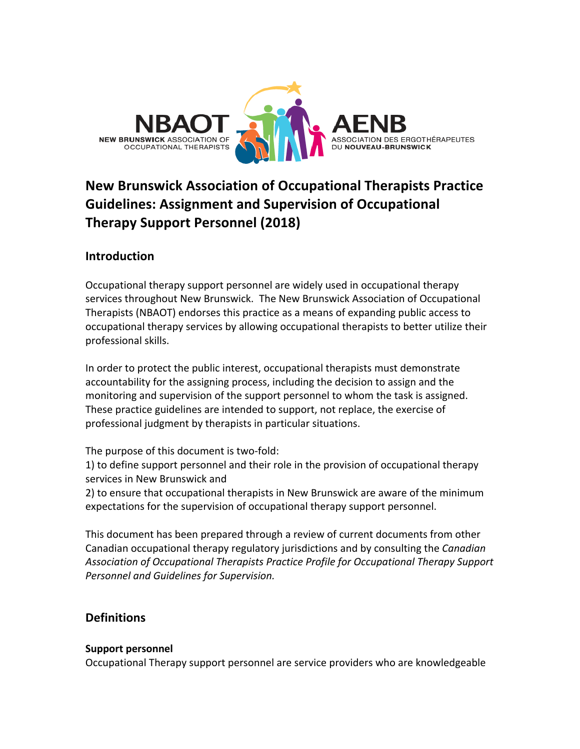

# **New Brunswick Association of Occupational Therapists Practice Guidelines: Assignment and Supervision of Occupational Therapy Support Personnel (2018)**

# **Introduction**

Occupational therapy support personnel are widely used in occupational therapy services throughout New Brunswick. The New Brunswick Association of Occupational Therapists (NBAOT) endorses this practice as a means of expanding public access to occupational therapy services by allowing occupational therapists to better utilize their professional skills.

In order to protect the public interest, occupational therapists must demonstrate accountability for the assigning process, including the decision to assign and the monitoring and supervision of the support personnel to whom the task is assigned. These practice guidelines are intended to support, not replace, the exercise of professional judgment by therapists in particular situations.

The purpose of this document is two-fold:

1) to define support personnel and their role in the provision of occupational therapy services in New Brunswick and

2) to ensure that occupational therapists in New Brunswick are aware of the minimum expectations for the supervision of occupational therapy support personnel.

This document has been prepared through a review of current documents from other Canadian occupational therapy regulatory jurisdictions and by consulting the *Canadian* Association of Occupational Therapists Practice Profile for Occupational Therapy Support *Personnel and Guidelines for Supervision.*

# **Definitions**

### **Support personnel**

Occupational Therapy support personnel are service providers who are knowledgeable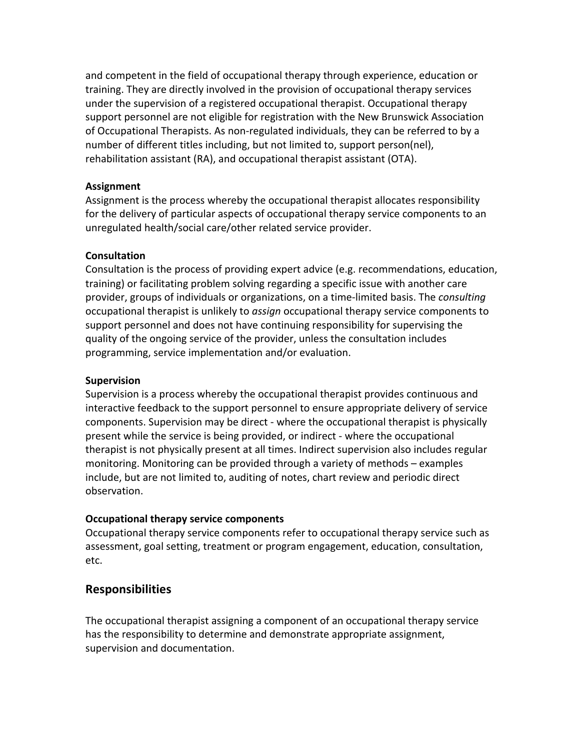and competent in the field of occupational therapy through experience, education or training. They are directly involved in the provision of occupational therapy services under the supervision of a registered occupational therapist. Occupational therapy support personnel are not eligible for registration with the New Brunswick Association of Occupational Therapists. As non-regulated individuals, they can be referred to by a number of different titles including, but not limited to, support person(nel), rehabilitation assistant (RA), and occupational therapist assistant (OTA).

## **Assignment**

Assignment is the process whereby the occupational therapist allocates responsibility for the delivery of particular aspects of occupational therapy service components to an unregulated health/social care/other related service provider.

## **Consultation**

Consultation is the process of providing expert advice (e.g. recommendations, education, training) or facilitating problem solving regarding a specific issue with another care provider, groups of individuals or organizations, on a time-limited basis. The *consulting* occupational therapist is unlikely to *assign* occupational therapy service components to support personnel and does not have continuing responsibility for supervising the quality of the ongoing service of the provider, unless the consultation includes programming, service implementation and/or evaluation.

## **Supervision**

Supervision is a process whereby the occupational therapist provides continuous and interactive feedback to the support personnel to ensure appropriate delivery of service components. Supervision may be direct - where the occupational therapist is physically present while the service is being provided, or indirect - where the occupational therapist is not physically present at all times. Indirect supervision also includes regular monitoring. Monitoring can be provided through a variety of methods – examples include, but are not limited to, auditing of notes, chart review and periodic direct observation. 

## **Occupational therapy service components**

Occupational therapy service components refer to occupational therapy service such as assessment, goal setting, treatment or program engagement, education, consultation, etc.

# **Responsibilities**

The occupational therapist assigning a component of an occupational therapy service has the responsibility to determine and demonstrate appropriate assignment, supervision and documentation.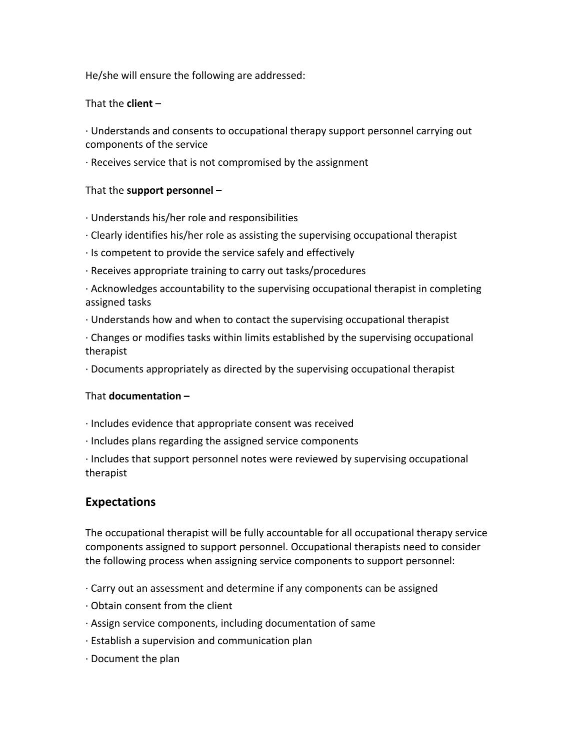He/she will ensure the following are addressed:

## That the **client** –

· Understands and consents to occupational therapy support personnel carrying out components of the service

 $\cdot$  Receives service that is not compromised by the assignment

## That the **support personnel** –

- · Understands his/her role and responsibilities
- $\cdot$  Clearly identifies his/her role as assisting the supervising occupational therapist
- $\cdot$  Is competent to provide the service safely and effectively
- $\cdot$  Receives appropriate training to carry out tasks/procedures
- $\cdot$  Acknowledges accountability to the supervising occupational therapist in completing assigned tasks
- $\cdot$  Understands how and when to contact the supervising occupational therapist
- $\cdot$  Changes or modifies tasks within limits established by the supervising occupational therapist
- $\cdot$  Documents appropriately as directed by the supervising occupational therapist

### That **documentation** -

- $\cdot$  Includes evidence that appropriate consent was received
- $\cdot$  Includes plans regarding the assigned service components

 $\cdot$  Includes that support personnel notes were reviewed by supervising occupational therapist 

# **Expectations**

The occupational therapist will be fully accountable for all occupational therapy service components assigned to support personnel. Occupational therapists need to consider the following process when assigning service components to support personnel:

- $\cdot$  Carry out an assessment and determine if any components can be assigned
- $\cdot$  Obtain consent from the client
- · Assign service components, including documentation of same
- $\cdot$  Establish a supervision and communication plan
- $\cdot$  Document the plan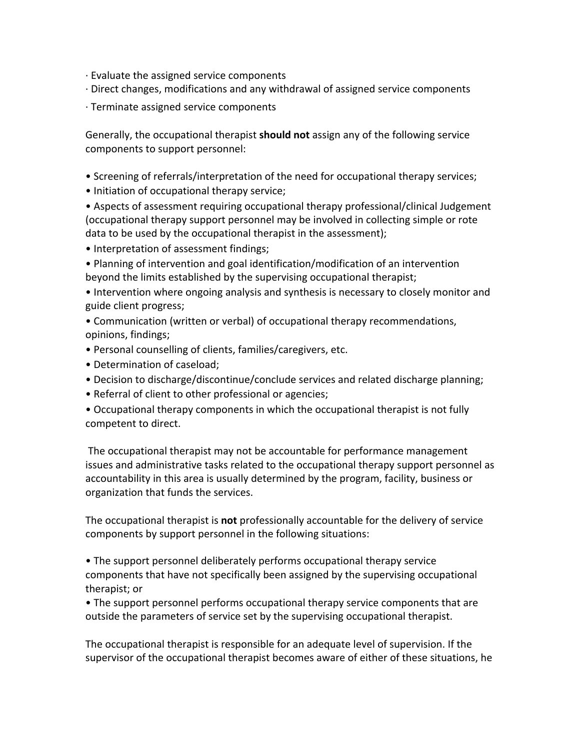- $\cdot$  Evaluate the assigned service components
- · Direct changes, modifications and any withdrawal of assigned service components
- $\cdot$  Terminate assigned service components

Generally, the occupational therapist **should not** assign any of the following service components to support personnel:

- Screening of referrals/interpretation of the need for occupational therapy services;
- Initiation of occupational therapy service;

• Aspects of assessment requiring occupational therapy professional/clinical Judgement (occupational therapy support personnel may be involved in collecting simple or rote data to be used by the occupational therapist in the assessment);

• Interpretation of assessment findings;

• Planning of intervention and goal identification/modification of an intervention beyond the limits established by the supervising occupational therapist;

• Intervention where ongoing analysis and synthesis is necessary to closely monitor and guide client progress;

- Communication (written or verbal) of occupational therapy recommendations, opinions, findings;
- Personal counselling of clients, families/caregivers, etc.
- Determination of caseload;
- Decision to discharge/discontinue/conclude services and related discharge planning;
- Referral of client to other professional or agencies;
- Occupational therapy components in which the occupational therapist is not fully competent to direct.

The occupational therapist may not be accountable for performance management issues and administrative tasks related to the occupational therapy support personnel as accountability in this area is usually determined by the program, facility, business or organization that funds the services.

The occupational therapist is not professionally accountable for the delivery of service components by support personnel in the following situations:

• The support personnel deliberately performs occupational therapy service components that have not specifically been assigned by the supervising occupational therapist; or

• The support personnel performs occupational therapy service components that are outside the parameters of service set by the supervising occupational therapist.

The occupational therapist is responsible for an adequate level of supervision. If the supervisor of the occupational therapist becomes aware of either of these situations, he